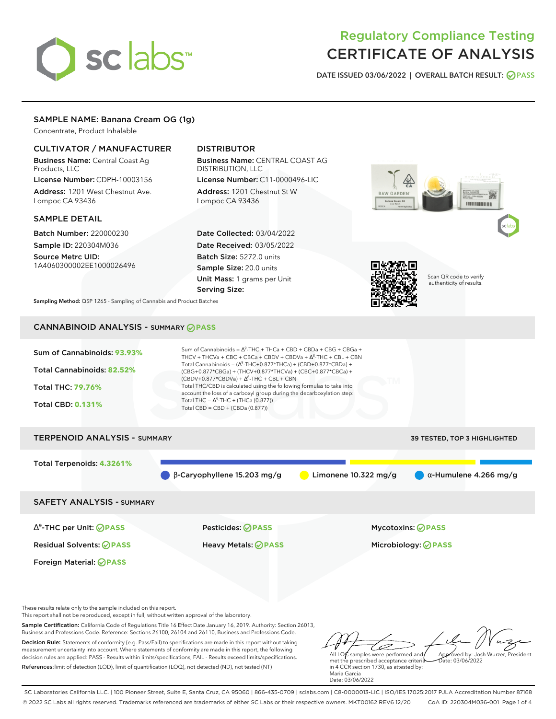# sclabs<sup>\*</sup>

# Regulatory Compliance Testing CERTIFICATE OF ANALYSIS

**DATE ISSUED 03/06/2022 | OVERALL BATCH RESULT: PASS**

# SAMPLE NAME: Banana Cream OG (1g)

Concentrate, Product Inhalable

# CULTIVATOR / MANUFACTURER

Business Name: Central Coast Ag Products, LLC

License Number: CDPH-10003156 Address: 1201 West Chestnut Ave. Lompoc CA 93436

#### SAMPLE DETAIL

Batch Number: 220000230 Sample ID: 220304M036

Source Metrc UID: 1A4060300002EE1000026496

# DISTRIBUTOR

Business Name: CENTRAL COAST AG DISTRIBUTION, LLC License Number: C11-0000496-LIC

Address: 1201 Chestnut St W Lompoc CA 93436

Date Collected: 03/04/2022 Date Received: 03/05/2022 Batch Size: 5272.0 units Sample Size: 20.0 units Unit Mass: 1 grams per Unit Serving Size:



Scan QR code to verify authenticity of results.

,,,,,,,,,,,,,,,,,,

**Sampling Method:** QSP 1265 - Sampling of Cannabis and Product Batches

# CANNABINOID ANALYSIS - SUMMARY **PASS**

| Sum of Cannabinoids: 93.93% | Sum of Cannabinoids = $\Delta^9$ -THC + THCa + CBD + CBDa + CBG + CBGa +<br>THCV + THCVa + CBC + CBCa + CBDV + CBDVa + $\Delta^8$ -THC + CBL + CBN                                       |
|-----------------------------|------------------------------------------------------------------------------------------------------------------------------------------------------------------------------------------|
| Total Cannabinoids: 82.52%  | Total Cannabinoids = $(\Delta^9$ -THC+0.877*THCa) + (CBD+0.877*CBDa) +<br>(CBG+0.877*CBGa) + (THCV+0.877*THCVa) + (CBC+0.877*CBCa) +<br>$(CBDV+0.877*CBDVa) + \Delta^8$ -THC + CBL + CBN |
| <b>Total THC: 79.76%</b>    | Total THC/CBD is calculated using the following formulas to take into<br>account the loss of a carboxyl group during the decarboxylation step:                                           |
| <b>Total CBD: 0.131%</b>    | Total THC = $\Delta^9$ -THC + (THCa (0.877))<br>Total CBD = $CBD + (CBDa (0.877))$                                                                                                       |
|                             |                                                                                                                                                                                          |

| <b>TERPENOID ANALYSIS - SUMMARY</b> |                                    |                        | 39 TESTED, TOP 3 HIGHLIGHTED  |
|-------------------------------------|------------------------------------|------------------------|-------------------------------|
| Total Terpenoids: 4.3261%           | $\beta$ -Caryophyllene 15.203 mg/g | Limonene $10.322$ mg/g | $\alpha$ -Humulene 4.266 mg/g |
|                                     |                                    |                        |                               |

SAFETY ANALYSIS - SUMMARY

∆ 9 -THC per Unit: **PASS** Pesticides: **PASS** Mycotoxins: **PASS**

Foreign Material: **PASS**

Residual Solvents: **PASS** Heavy Metals: **PASS** Microbiology: **PASS**

These results relate only to the sample included on this report.

This report shall not be reproduced, except in full, without written approval of the laboratory.

Sample Certification: California Code of Regulations Title 16 Effect Date January 16, 2019. Authority: Section 26013, Business and Professions Code. Reference: Sections 26100, 26104 and 26110, Business and Professions Code.

Decision Rule: Statements of conformity (e.g. Pass/Fail) to specifications are made in this report without taking measurement uncertainty into account. Where statements of conformity are made in this report, the following decision rules are applied: PASS - Results within limits/specifications, FAIL - Results exceed limits/specifications. References:limit of detection (LOD), limit of quantification (LOQ), not detected (ND), not tested (NT)

ستنسخ All LQ $\ell$  samples were performed and Approved by: Josh Wurzer, President  $ate: 03/06/2022$ 

met the prescribed acceptance criteria in 4 CCR section 1730, as attested by: Maria Garcia Date: 03/06/2022

SC Laboratories California LLC. | 100 Pioneer Street, Suite E, Santa Cruz, CA 95060 | 866-435-0709 | sclabs.com | C8-0000013-LIC | ISO/IES 17025:2017 PJLA Accreditation Number 87168 © 2022 SC Labs all rights reserved. Trademarks referenced are trademarks of either SC Labs or their respective owners. MKT00162 REV6 12/20 CoA ID: 220304M036-001 Page 1 of 4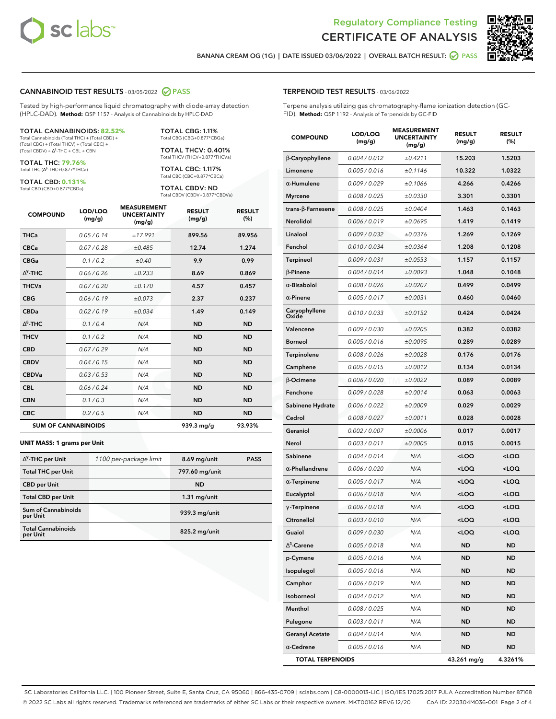



**BANANA CREAM OG (1G) | DATE ISSUED 03/06/2022 | OVERALL BATCH RESULT: PASS**

#### **CANNABINOID TEST RESULTS** - 03/05/2022 **PASS**

Tested by high-performance liquid chromatography with diode-array detection (HPLC-DAD). **Method:** QSP 1157 - Analysis of Cannabinoids by HPLC-DAD

#### TOTAL CANNABINOIDS: **82.52%**

Total Cannabinoids (Total THC) + (Total CBD) + (Total CBG) + (Total THCV) + (Total CBC) +  $(Total CBDV) +  $\Delta^8$ -THC + CBL + CBN$ 

TOTAL THC: **79.76%** Total THC (Δ<sup>9</sup>-THC+0.877\*THCa)

TOTAL CBD: **0.131%**

Total CBD (CBD+0.877\*CBDa)

TOTAL CBG: 1.11% Total CBG (CBG+0.877\*CBGa)

TOTAL THCV: 0.401% Total THCV (THCV+0.877\*THCVa)

TOTAL CBC: 1.117% Total CBC (CBC+0.877\*CBCa)

TOTAL CBDV: ND Total CBDV (CBDV+0.877\*CBDVa)

| <b>COMPOUND</b> | LOD/LOQ<br>(mg/g)          | <b>MEASUREMENT</b><br><b>UNCERTAINTY</b><br>(mg/g) | <b>RESULT</b><br>(mg/g) | <b>RESULT</b><br>(%) |
|-----------------|----------------------------|----------------------------------------------------|-------------------------|----------------------|
| <b>THCa</b>     | 0.05/0.14                  | ±17.991                                            | 899.56                  | 89.956               |
| <b>CBCa</b>     | 0.07 / 0.28                | ±0.485                                             | 12.74                   | 1.274                |
| <b>CBGa</b>     | 0.1 / 0.2                  | ±0.40                                              | 9.9                     | 0.99                 |
| $\Delta^9$ -THC | 0.06 / 0.26                | ±0.233                                             | 8.69                    | 0.869                |
| <b>THCVa</b>    | 0.07 / 0.20                | ±0.170                                             | 4.57                    | 0.457                |
| <b>CBG</b>      | 0.06/0.19                  | ±0.073                                             | 2.37                    | 0.237                |
| <b>CBDa</b>     | 0.02 / 0.19                | ±0.034                                             | 1.49                    | 0.149                |
| $\wedge^8$ -THC | 0.1 / 0.4                  | N/A                                                | <b>ND</b>               | <b>ND</b>            |
| <b>THCV</b>     | 0.1 / 0.2                  | N/A                                                | <b>ND</b>               | <b>ND</b>            |
| <b>CBD</b>      | 0.07/0.29                  | N/A                                                | <b>ND</b>               | <b>ND</b>            |
| <b>CBDV</b>     | 0.04 / 0.15                | N/A                                                | <b>ND</b>               | <b>ND</b>            |
| <b>CBDVa</b>    | 0.03 / 0.53                | N/A                                                | <b>ND</b>               | <b>ND</b>            |
| <b>CBL</b>      | 0.06 / 0.24                | N/A                                                | <b>ND</b>               | <b>ND</b>            |
| <b>CBN</b>      | 0.1/0.3                    | N/A                                                | <b>ND</b>               | <b>ND</b>            |
| <b>CBC</b>      | 0.2 / 0.5                  | N/A                                                | <b>ND</b>               | <b>ND</b>            |
|                 | <b>SUM OF CANNABINOIDS</b> |                                                    | 939.3 mg/g              | 93.93%               |

#### **UNIT MASS: 1 grams per Unit**

| $\Delta^9$ -THC per Unit              | 1100 per-package limit | 8.69 mg/unit   | <b>PASS</b> |
|---------------------------------------|------------------------|----------------|-------------|
| <b>Total THC per Unit</b>             |                        | 797.60 mg/unit |             |
| <b>CBD</b> per Unit                   |                        | <b>ND</b>      |             |
| <b>Total CBD per Unit</b>             |                        | $1.31$ mg/unit |             |
| Sum of Cannabinoids<br>per Unit       |                        | 939.3 mg/unit  |             |
| <b>Total Cannabinoids</b><br>per Unit |                        | 825.2 mg/unit  |             |

#### **TERPENOID TEST RESULTS** - 03/06/2022

Terpene analysis utilizing gas chromatography-flame ionization detection (GC-FID). **Method:** QSP 1192 - Analysis of Terpenoids by GC-FID

| <b>COMPOUND</b>          | LOD/LOQ<br>(mg/g) | <b>MEASUREMENT</b><br><b>UNCERTAINTY</b><br>(mg/g) | <b>RESULT</b><br>(mg/g)                         | <b>RESULT</b><br>(%) |
|--------------------------|-------------------|----------------------------------------------------|-------------------------------------------------|----------------------|
| $\beta$ -Caryophyllene   | 0.004 / 0.012     | ±0.4211                                            | 15.203                                          | 1.5203               |
| Limonene                 | 0.005 / 0.016     | ±0.1146                                            | 10.322                                          | 1.0322               |
| α-Humulene               | 0.009/0.029       | ±0.1066                                            | 4.266                                           | 0.4266               |
| <b>Myrcene</b>           | 0.008 / 0.025     | ±0.0330                                            | 3.301                                           | 0.3301               |
| $trans-\beta$ -Farnesene | 0.008 / 0.025     | ±0.0404                                            | 1.463                                           | 0.1463               |
| Nerolidol                | 0.006 / 0.019     | ±0.0695                                            | 1.419                                           | 0.1419               |
| Linalool                 | 0.009 / 0.032     | ±0.0376                                            | 1.269                                           | 0.1269               |
| Fenchol                  | 0.010 / 0.034     | ±0.0364                                            | 1.208                                           | 0.1208               |
| <b>Terpineol</b>         | 0.009 / 0.031     | ±0.0553                                            | 1.157                                           | 0.1157               |
| $\beta$ -Pinene          | 0.004 / 0.014     | ±0.0093                                            | 1.048                                           | 0.1048               |
| $\alpha$ -Bisabolol      | 0.008 / 0.026     | ±0.0207                                            | 0.499                                           | 0.0499               |
| $\alpha$ -Pinene         | 0.005 / 0.017     | ±0.0031                                            | 0.460                                           | 0.0460               |
| Caryophyllene<br>Oxide   | 0.010 / 0.033     | ±0.0152                                            | 0.424                                           | 0.0424               |
| Valencene                | 0.009 / 0.030     | ±0.0205                                            | 0.382                                           | 0.0382               |
| <b>Borneol</b>           | 0.005 / 0.016     | ±0.0095                                            | 0.289                                           | 0.0289               |
| <b>Terpinolene</b>       | 0.008 / 0.026     | ±0.0028                                            | 0.176                                           | 0.0176               |
| Camphene                 | 0.005 / 0.015     | ±0.0012                                            | 0.134                                           | 0.0134               |
| β-Ocimene                | 0.006 / 0.020     | ±0.0022                                            | 0.089                                           | 0.0089               |
| Fenchone                 | 0.009 / 0.028     | ±0.0014                                            | 0.063                                           | 0.0063               |
| Sabinene Hydrate         | 0.006 / 0.022     | ±0.0009                                            | 0.029                                           | 0.0029               |
| Cedrol                   | 0.008 / 0.027     | ±0.0011                                            | 0.028                                           | 0.0028               |
| Geraniol                 | 0.002 / 0.007     | ±0.0006                                            | 0.017                                           | 0.0017               |
| Nerol                    | 0.003 / 0.011     | ±0.0005                                            | 0.015                                           | 0.0015               |
| Sabinene                 | 0.004 / 0.014     | N/A                                                | <loq< th=""><th><loq< th=""></loq<></th></loq<> | <loq< th=""></loq<>  |
| $\alpha$ -Phellandrene   | 0.006 / 0.020     | N/A                                                | <loq< th=""><th><loq< th=""></loq<></th></loq<> | <loq< th=""></loq<>  |
| $\alpha$ -Terpinene      | 0.005 / 0.017     | N/A                                                | <loq< th=""><th><loq< th=""></loq<></th></loq<> | <loq< th=""></loq<>  |
| Eucalyptol               | 0.006 / 0.018     | N/A                                                | <loq< th=""><th><loq< th=""></loq<></th></loq<> | <loq< th=""></loq<>  |
| $\gamma$ -Terpinene      | 0.006 / 0.018     | N/A                                                | <loq< th=""><th><loq< th=""></loq<></th></loq<> | <loq< th=""></loq<>  |
| Citronellol              | 0.003 / 0.010     | N/A                                                | <loq< th=""><th><loq< th=""></loq<></th></loq<> | <loq< th=""></loq<>  |
| Guaiol                   | 0.009 / 0.030     | N/A                                                | $<$ LOQ                                         | $<$ LOQ              |
| $\Delta^3$ -Carene       | 0.005 / 0.018     | N/A                                                | ND                                              | ND                   |
| p-Cymene                 | 0.005 / 0.016     | N/A                                                | <b>ND</b>                                       | <b>ND</b>            |
| Isopulegol               | 0.005 / 0.016     | N/A                                                | <b>ND</b>                                       | <b>ND</b>            |
| Camphor                  | 0.006 / 0.019     | N/A                                                | ND                                              | ND                   |
| Isoborneol               | 0.004 / 0.012     | N/A                                                | ND                                              | ND                   |
| Menthol                  | 0.008 / 0.025     | N/A                                                | <b>ND</b>                                       | <b>ND</b>            |
| Pulegone                 | 0.003 / 0.011     | N/A                                                | ND                                              | ND                   |
| <b>Geranyl Acetate</b>   | 0.004 / 0.014     | N/A                                                | ND                                              | ND                   |
| $\alpha$ -Cedrene        | 0.005 / 0.016     | N/A                                                | <b>ND</b>                                       | ND                   |
| <b>TOTAL TERPENOIDS</b>  |                   |                                                    | 43.261 mg/g                                     | 4.3261%              |

SC Laboratories California LLC. | 100 Pioneer Street, Suite E, Santa Cruz, CA 95060 | 866-435-0709 | sclabs.com | C8-0000013-LIC | ISO/IES 17025:2017 PJLA Accreditation Number 87168 © 2022 SC Labs all rights reserved. Trademarks referenced are trademarks of either SC Labs or their respective owners. MKT00162 REV6 12/20 CoA ID: 220304M036-001 Page 2 of 4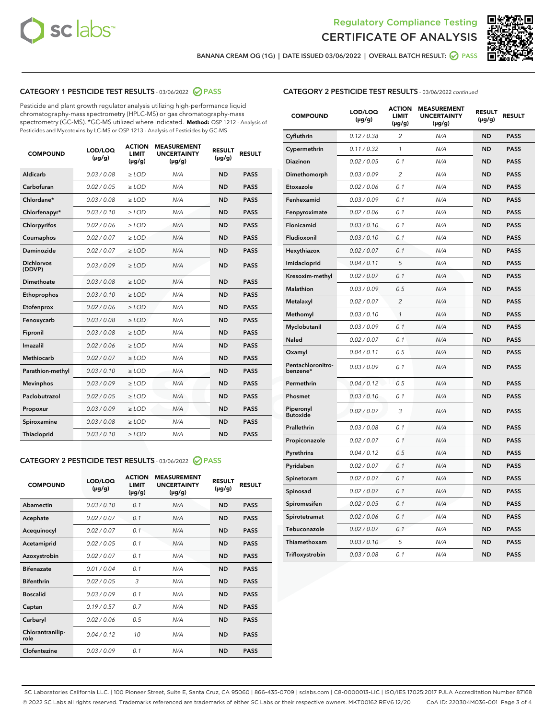



**BANANA CREAM OG (1G) | DATE ISSUED 03/06/2022 | OVERALL BATCH RESULT: PASS**

# **CATEGORY 1 PESTICIDE TEST RESULTS** - 03/06/2022 **PASS**

Pesticide and plant growth regulator analysis utilizing high-performance liquid chromatography-mass spectrometry (HPLC-MS) or gas chromatography-mass spectrometry (GC-MS). \*GC-MS utilized where indicated. **Method:** QSP 1212 - Analysis of Pesticides and Mycotoxins by LC-MS or QSP 1213 - Analysis of Pesticides by GC-MS

| 0.03 / 0.08<br>$\geq$ LOD<br><b>ND</b><br><b>PASS</b><br>Aldicarb<br>N/A<br>Carbofuran<br>0.02/0.05<br>$>$ LOD<br>N/A<br><b>ND</b><br><b>PASS</b><br>Chlordane*<br>0.03 / 0.08<br>N/A<br><b>ND</b><br><b>PASS</b><br>$\geq$ LOD<br>Chlorfenapyr*<br>0.03/0.10<br>N/A<br><b>ND</b><br><b>PASS</b><br>$\ge$ LOD<br>N/A<br><b>ND</b><br><b>PASS</b><br>Chlorpyrifos<br>0.02/0.06<br>$>$ LOD<br>0.02 / 0.07<br>N/A<br><b>ND</b><br><b>PASS</b><br>Coumaphos<br>$\ge$ LOD<br>Daminozide<br>0.02 / 0.07<br><b>PASS</b><br>$\ge$ LOD<br>N/A<br><b>ND</b><br><b>Dichlorvos</b><br>0.03/0.09<br>$\geq$ LOD<br>N/A<br><b>ND</b><br><b>PASS</b><br>(DDVP)<br>0.03/0.08<br><b>ND</b><br><b>PASS</b><br>Dimethoate<br>$>$ LOD<br>N/A<br>0.03/0.10<br><b>ND</b><br><b>PASS</b><br>Ethoprophos<br>$>$ LOD<br>N/A<br>0.02 / 0.06<br>N/A<br><b>ND</b><br><b>PASS</b><br>Etofenprox<br>$\geq$ LOD<br><b>ND</b><br>0.03 / 0.08<br>N/A<br><b>PASS</b><br>Fenoxycarb<br>$\ge$ LOD<br>0.03 / 0.08<br>N/A<br><b>ND</b><br><b>PASS</b><br>Fipronil<br>$\ge$ LOD<br>Imazalil<br>0.02 / 0.06<br><b>ND</b><br><b>PASS</b><br>$\geq$ LOD<br>N/A<br><b>Methiocarb</b><br>0.02 / 0.07<br>$\ge$ LOD<br>N/A<br><b>ND</b><br><b>PASS</b><br>N/A<br><b>ND</b><br>Parathion-methyl<br>0.03/0.10<br>$>$ LOD<br><b>PASS</b><br>0.03/0.09<br>N/A<br><b>ND</b><br><b>PASS</b><br><b>Mevinphos</b><br>$\geq$ LOD<br>Paclobutrazol<br>0.02 / 0.05<br>N/A<br><b>ND</b><br><b>PASS</b><br>$\geq$ LOD<br>0.03/0.09<br>$>$ LOD<br>N/A<br><b>ND</b><br><b>PASS</b><br>Propoxur<br>0.03 / 0.08<br>$\ge$ LOD<br>N/A<br><b>ND</b><br><b>PASS</b><br>Spiroxamine<br>0.03/0.10<br>$\ge$ LOD<br>N/A<br><b>ND</b><br><b>PASS</b><br><b>Thiacloprid</b> | <b>COMPOUND</b> | LOD/LOQ<br>$(\mu g/g)$ | <b>ACTION</b><br>LIMIT<br>$(\mu g/g)$ | <b>MEASUREMENT</b><br><b>UNCERTAINTY</b><br>$(\mu g/g)$ | <b>RESULT</b><br>$(\mu g/g)$ | <b>RESULT</b> |
|---------------------------------------------------------------------------------------------------------------------------------------------------------------------------------------------------------------------------------------------------------------------------------------------------------------------------------------------------------------------------------------------------------------------------------------------------------------------------------------------------------------------------------------------------------------------------------------------------------------------------------------------------------------------------------------------------------------------------------------------------------------------------------------------------------------------------------------------------------------------------------------------------------------------------------------------------------------------------------------------------------------------------------------------------------------------------------------------------------------------------------------------------------------------------------------------------------------------------------------------------------------------------------------------------------------------------------------------------------------------------------------------------------------------------------------------------------------------------------------------------------------------------------------------------------------------------------------------------------------------------------------------------------------------------------------------------|-----------------|------------------------|---------------------------------------|---------------------------------------------------------|------------------------------|---------------|
|                                                                                                                                                                                                                                                                                                                                                                                                                                                                                                                                                                                                                                                                                                                                                                                                                                                                                                                                                                                                                                                                                                                                                                                                                                                                                                                                                                                                                                                                                                                                                                                                                                                                                                   |                 |                        |                                       |                                                         |                              |               |
|                                                                                                                                                                                                                                                                                                                                                                                                                                                                                                                                                                                                                                                                                                                                                                                                                                                                                                                                                                                                                                                                                                                                                                                                                                                                                                                                                                                                                                                                                                                                                                                                                                                                                                   |                 |                        |                                       |                                                         |                              |               |
|                                                                                                                                                                                                                                                                                                                                                                                                                                                                                                                                                                                                                                                                                                                                                                                                                                                                                                                                                                                                                                                                                                                                                                                                                                                                                                                                                                                                                                                                                                                                                                                                                                                                                                   |                 |                        |                                       |                                                         |                              |               |
|                                                                                                                                                                                                                                                                                                                                                                                                                                                                                                                                                                                                                                                                                                                                                                                                                                                                                                                                                                                                                                                                                                                                                                                                                                                                                                                                                                                                                                                                                                                                                                                                                                                                                                   |                 |                        |                                       |                                                         |                              |               |
|                                                                                                                                                                                                                                                                                                                                                                                                                                                                                                                                                                                                                                                                                                                                                                                                                                                                                                                                                                                                                                                                                                                                                                                                                                                                                                                                                                                                                                                                                                                                                                                                                                                                                                   |                 |                        |                                       |                                                         |                              |               |
|                                                                                                                                                                                                                                                                                                                                                                                                                                                                                                                                                                                                                                                                                                                                                                                                                                                                                                                                                                                                                                                                                                                                                                                                                                                                                                                                                                                                                                                                                                                                                                                                                                                                                                   |                 |                        |                                       |                                                         |                              |               |
|                                                                                                                                                                                                                                                                                                                                                                                                                                                                                                                                                                                                                                                                                                                                                                                                                                                                                                                                                                                                                                                                                                                                                                                                                                                                                                                                                                                                                                                                                                                                                                                                                                                                                                   |                 |                        |                                       |                                                         |                              |               |
|                                                                                                                                                                                                                                                                                                                                                                                                                                                                                                                                                                                                                                                                                                                                                                                                                                                                                                                                                                                                                                                                                                                                                                                                                                                                                                                                                                                                                                                                                                                                                                                                                                                                                                   |                 |                        |                                       |                                                         |                              |               |
|                                                                                                                                                                                                                                                                                                                                                                                                                                                                                                                                                                                                                                                                                                                                                                                                                                                                                                                                                                                                                                                                                                                                                                                                                                                                                                                                                                                                                                                                                                                                                                                                                                                                                                   |                 |                        |                                       |                                                         |                              |               |
|                                                                                                                                                                                                                                                                                                                                                                                                                                                                                                                                                                                                                                                                                                                                                                                                                                                                                                                                                                                                                                                                                                                                                                                                                                                                                                                                                                                                                                                                                                                                                                                                                                                                                                   |                 |                        |                                       |                                                         |                              |               |
|                                                                                                                                                                                                                                                                                                                                                                                                                                                                                                                                                                                                                                                                                                                                                                                                                                                                                                                                                                                                                                                                                                                                                                                                                                                                                                                                                                                                                                                                                                                                                                                                                                                                                                   |                 |                        |                                       |                                                         |                              |               |
|                                                                                                                                                                                                                                                                                                                                                                                                                                                                                                                                                                                                                                                                                                                                                                                                                                                                                                                                                                                                                                                                                                                                                                                                                                                                                                                                                                                                                                                                                                                                                                                                                                                                                                   |                 |                        |                                       |                                                         |                              |               |
|                                                                                                                                                                                                                                                                                                                                                                                                                                                                                                                                                                                                                                                                                                                                                                                                                                                                                                                                                                                                                                                                                                                                                                                                                                                                                                                                                                                                                                                                                                                                                                                                                                                                                                   |                 |                        |                                       |                                                         |                              |               |
|                                                                                                                                                                                                                                                                                                                                                                                                                                                                                                                                                                                                                                                                                                                                                                                                                                                                                                                                                                                                                                                                                                                                                                                                                                                                                                                                                                                                                                                                                                                                                                                                                                                                                                   |                 |                        |                                       |                                                         |                              |               |
|                                                                                                                                                                                                                                                                                                                                                                                                                                                                                                                                                                                                                                                                                                                                                                                                                                                                                                                                                                                                                                                                                                                                                                                                                                                                                                                                                                                                                                                                                                                                                                                                                                                                                                   |                 |                        |                                       |                                                         |                              |               |
|                                                                                                                                                                                                                                                                                                                                                                                                                                                                                                                                                                                                                                                                                                                                                                                                                                                                                                                                                                                                                                                                                                                                                                                                                                                                                                                                                                                                                                                                                                                                                                                                                                                                                                   |                 |                        |                                       |                                                         |                              |               |
|                                                                                                                                                                                                                                                                                                                                                                                                                                                                                                                                                                                                                                                                                                                                                                                                                                                                                                                                                                                                                                                                                                                                                                                                                                                                                                                                                                                                                                                                                                                                                                                                                                                                                                   |                 |                        |                                       |                                                         |                              |               |
|                                                                                                                                                                                                                                                                                                                                                                                                                                                                                                                                                                                                                                                                                                                                                                                                                                                                                                                                                                                                                                                                                                                                                                                                                                                                                                                                                                                                                                                                                                                                                                                                                                                                                                   |                 |                        |                                       |                                                         |                              |               |
|                                                                                                                                                                                                                                                                                                                                                                                                                                                                                                                                                                                                                                                                                                                                                                                                                                                                                                                                                                                                                                                                                                                                                                                                                                                                                                                                                                                                                                                                                                                                                                                                                                                                                                   |                 |                        |                                       |                                                         |                              |               |
|                                                                                                                                                                                                                                                                                                                                                                                                                                                                                                                                                                                                                                                                                                                                                                                                                                                                                                                                                                                                                                                                                                                                                                                                                                                                                                                                                                                                                                                                                                                                                                                                                                                                                                   |                 |                        |                                       |                                                         |                              |               |
|                                                                                                                                                                                                                                                                                                                                                                                                                                                                                                                                                                                                                                                                                                                                                                                                                                                                                                                                                                                                                                                                                                                                                                                                                                                                                                                                                                                                                                                                                                                                                                                                                                                                                                   |                 |                        |                                       |                                                         |                              |               |

# **CATEGORY 2 PESTICIDE TEST RESULTS** - 03/06/2022 **PASS**

| <b>COMPOUND</b>          | LOD/LOO<br>$(\mu g/g)$ | <b>ACTION</b><br><b>LIMIT</b><br>(µg/g) | <b>MEASUREMENT</b><br><b>UNCERTAINTY</b><br>$(\mu g/g)$ | <b>RESULT</b><br>$(\mu g/g)$ | <b>RESULT</b> |  |
|--------------------------|------------------------|-----------------------------------------|---------------------------------------------------------|------------------------------|---------------|--|
| Abamectin                | 0.03/0.10              | 0.1                                     | N/A                                                     | <b>ND</b>                    | <b>PASS</b>   |  |
| Acephate                 | 0.02/0.07              | 0.1                                     | N/A                                                     | <b>ND</b>                    | <b>PASS</b>   |  |
| Acequinocyl              | 0.02/0.07              | 0.1                                     | N/A                                                     | <b>ND</b>                    | <b>PASS</b>   |  |
| Acetamiprid              | 0.02/0.05              | 0.1                                     | N/A                                                     | <b>ND</b>                    | <b>PASS</b>   |  |
| Azoxystrobin             | 0.02/0.07              | 0.1                                     | N/A                                                     | <b>ND</b>                    | <b>PASS</b>   |  |
| <b>Bifenazate</b>        | 0.01/0.04              | 0.1                                     | N/A                                                     | <b>ND</b>                    | <b>PASS</b>   |  |
| <b>Bifenthrin</b>        | 0.02/0.05              | 3                                       | N/A                                                     | <b>ND</b>                    | <b>PASS</b>   |  |
| <b>Boscalid</b>          | 0.03/0.09              | 0.1                                     | N/A                                                     | <b>ND</b>                    | <b>PASS</b>   |  |
| Captan                   | 0.19/0.57              | 0.7                                     | N/A                                                     | <b>ND</b>                    | <b>PASS</b>   |  |
| Carbaryl                 | 0.02/0.06              | 0.5                                     | N/A                                                     | <b>ND</b>                    | <b>PASS</b>   |  |
| Chlorantranilip-<br>role | 0.04/0.12              | 10                                      | N/A                                                     | <b>ND</b>                    | <b>PASS</b>   |  |
| Clofentezine             | 0.03/0.09              | 0.1                                     | N/A                                                     | <b>ND</b>                    | <b>PASS</b>   |  |

# **CATEGORY 2 PESTICIDE TEST RESULTS** - 03/06/2022 continued

| <b>COMPOUND</b>               | LOD/LOQ<br>(µg/g) | <b>ACTION</b><br><b>LIMIT</b><br>(µg/g) | <b>MEASUREMENT</b><br><b>UNCERTAINTY</b><br>$(\mu g/g)$ | <b>RESULT</b><br>(µg/g) | <b>RESULT</b> |
|-------------------------------|-------------------|-----------------------------------------|---------------------------------------------------------|-------------------------|---------------|
| Cyfluthrin                    | 0.12 / 0.38       | $\overline{c}$                          | N/A                                                     | ND                      | <b>PASS</b>   |
| Cypermethrin                  | 0.11 / 0.32       | $\mathcal{I}$                           | N/A                                                     | <b>ND</b>               | PASS          |
| <b>Diazinon</b>               | 0.02 / 0.05       | 0.1                                     | N/A                                                     | <b>ND</b>               | <b>PASS</b>   |
| Dimethomorph                  | 0.03 / 0.09       | 2                                       | N/A                                                     | ND                      | <b>PASS</b>   |
| Etoxazole                     | 0.02 / 0.06       | 0.1                                     | N/A                                                     | <b>ND</b>               | <b>PASS</b>   |
| Fenhexamid                    | 0.03 / 0.09       | 0.1                                     | N/A                                                     | <b>ND</b>               | <b>PASS</b>   |
| Fenpyroximate                 | 0.02 / 0.06       | 0.1                                     | N/A                                                     | <b>ND</b>               | <b>PASS</b>   |
| Flonicamid                    | 0.03 / 0.10       | 0.1                                     | N/A                                                     | <b>ND</b>               | <b>PASS</b>   |
| Fludioxonil                   | 0.03 / 0.10       | 0.1                                     | N/A                                                     | <b>ND</b>               | <b>PASS</b>   |
| Hexythiazox                   | 0.02 / 0.07       | 0.1                                     | N/A                                                     | <b>ND</b>               | <b>PASS</b>   |
| Imidacloprid                  | 0.04 / 0.11       | 5                                       | N/A                                                     | ND                      | <b>PASS</b>   |
| Kresoxim-methyl               | 0.02 / 0.07       | 0.1                                     | N/A                                                     | <b>ND</b>               | <b>PASS</b>   |
| <b>Malathion</b>              | 0.03 / 0.09       | 0.5                                     | N/A                                                     | <b>ND</b>               | <b>PASS</b>   |
| Metalaxyl                     | 0.02 / 0.07       | $\overline{c}$                          | N/A                                                     | <b>ND</b>               | <b>PASS</b>   |
| Methomyl                      | 0.03 / 0.10       | $\mathcal{I}$                           | N/A                                                     | <b>ND</b>               | <b>PASS</b>   |
| Myclobutanil                  | 0.03 / 0.09       | 0.1                                     | N/A                                                     | <b>ND</b>               | <b>PASS</b>   |
| Naled                         | 0.02 / 0.07       | 0.1                                     | N/A                                                     | <b>ND</b>               | <b>PASS</b>   |
| Oxamyl                        | 0.04 / 0.11       | 0.5                                     | N/A                                                     | ND                      | <b>PASS</b>   |
| Pentachloronitro-<br>benzene* | 0.03 / 0.09       | 0.1                                     | N/A                                                     | <b>ND</b>               | <b>PASS</b>   |
| Permethrin                    | 0.04 / 0.12       | 0.5                                     | N/A                                                     | <b>ND</b>               | <b>PASS</b>   |
| Phosmet                       | 0.03 / 0.10       | 0.1                                     | N/A                                                     | ND                      | <b>PASS</b>   |
| Piperonyl<br><b>Butoxide</b>  | 0.02 / 0.07       | 3                                       | N/A                                                     | ND                      | <b>PASS</b>   |
| Prallethrin                   | 0.03 / 0.08       | 0.1                                     | N/A                                                     | <b>ND</b>               | <b>PASS</b>   |
| Propiconazole                 | 0.02 / 0.07       | 0.1                                     | N/A                                                     | <b>ND</b>               | <b>PASS</b>   |
| Pyrethrins                    | 0.04 / 0.12       | 0.5                                     | N/A                                                     | ND                      | <b>PASS</b>   |
| Pyridaben                     | 0.02 / 0.07       | 0.1                                     | N/A                                                     | <b>ND</b>               | <b>PASS</b>   |
| Spinetoram                    | 0.02 / 0.07       | 0.1                                     | N/A                                                     | ND                      | <b>PASS</b>   |
| Spinosad                      | 0.02 / 0.07       | 0.1                                     | N/A                                                     | <b>ND</b>               | <b>PASS</b>   |
| Spiromesifen                  | 0.02 / 0.05       | 0.1                                     | N/A                                                     | <b>ND</b>               | <b>PASS</b>   |
| Spirotetramat                 | 0.02 / 0.06       | 0.1                                     | N/A                                                     | <b>ND</b>               | <b>PASS</b>   |
| Tebuconazole                  | 0.02 / 0.07       | 0.1                                     | N/A                                                     | ND                      | <b>PASS</b>   |
| Thiamethoxam                  | 0.03 / 0.10       | 5                                       | N/A                                                     | ND                      | <b>PASS</b>   |
| Trifloxystrobin               | 0.03 / 0.08       | 0.1                                     | N/A                                                     | <b>ND</b>               | <b>PASS</b>   |

SC Laboratories California LLC. | 100 Pioneer Street, Suite E, Santa Cruz, CA 95060 | 866-435-0709 | sclabs.com | C8-0000013-LIC | ISO/IES 17025:2017 PJLA Accreditation Number 87168 © 2022 SC Labs all rights reserved. Trademarks referenced are trademarks of either SC Labs or their respective owners. MKT00162 REV6 12/20 CoA ID: 220304M036-001 Page 3 of 4